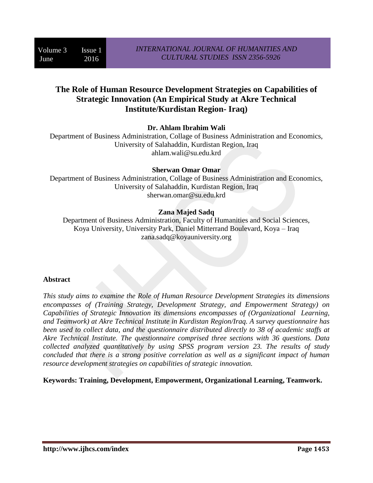# **The Role of Human Resource Development Strategies on Capabilities of Strategic Innovation (An Empirical Study at Akre Technical Institute/Kurdistan Region- Iraq)**

### **Dr. Ahlam Ibrahim Wali**

Department of Business Administration, Collage of Business Administration and Economics, University of Salahaddin, Kurdistan Region, Iraq ahlam.wali@su.edu.krd

#### **Sherwan Omar Omar**

Department of Business Administration, Collage of Business Administration and Economics, University of Salahaddin, Kurdistan Region, Iraq sherwan.omar@su.edu.krd

### **Zana Majed Sadq**

Department of Business Administration, Faculty of Humanities and Social Sciences, Koya University, University Park, Daniel Mitterrand Boulevard, Koya – Iraq zana.sadq@koyauniversity.org

#### **Abstract**

*This study aims to examine the Role of Human Resource Development Strategies its dimensions encompasses of (Training Strategy, Development Strategy, and Empowerment Strategy) on Capabilities of Strategic Innovation its dimensions encompasses of (Organizational Learning, and Teamwork) at Akre Technical Institute in Kurdistan Region/Iraq. A survey questionnaire has been used to collect data, and the questionnaire distributed directly to 38 of academic staffs at Akre Technical Institute. The questionnaire comprised three sections with 36 questions. Data collected analyzed quantitatively by using SPSS program version 23. The results of study concluded that there is a strong positive correlation as well as a significant impact of human resource development strategies on capabilities of strategic innovation.* 

**Keywords: Training, Development, Empowerment, Organizational Learning, Teamwork.**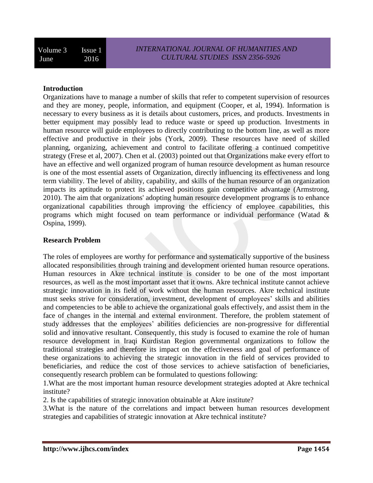#### **Introduction**

Organizations have to manage a number of skills that refer to competent supervision of resources and they are money, people, information, and equipment (Cooper, et al, 1994). Information is necessary to every business as it is details about customers, prices, and products. Investments in better equipment may possibly lead to reduce waste or speed up production. Investments in human resource will guide employees to directly contributing to the bottom line, as well as more effective and productive in their jobs (York, 2009). These resources have need of skilled planning, organizing, achievement and control to facilitate offering a continued competitive strategy (Frese et al, 2007). Chen et al. (2003) pointed out that Organizations make every effort to have an effective and well organized program of human resource development as human resource is one of the most essential assets of Organization, directly influencing its effectiveness and long term viability. The level of ability, capability, and skills of the human resource of an organization impacts its aptitude to protect its achieved positions gain competitive advantage (Armstrong, 2010). The aim that organizations' adopting human resource development programs is to enhance organizational capabilities through improving the efficiency of employee capabilities, this programs which might focused on team performance or individual performance (Watad & Ospina, 1999).

#### **Research Problem**

The roles of employees are worthy for performance and systematically supportive of the business allocated responsibilities through training and development oriented human resource operations. Human resources in Akre technical institute is consider to be one of the most important resources, as well as the most important asset that it owns. Akre technical institute cannot achieve strategic innovation in its field of work without the human resources. Akre technical institute must seeks strive for consideration, investment, development of employees' skills and abilities and competencies to be able to achieve the organizational goals effectively, and assist them in the face of changes in the internal and external environment. Therefore, the problem statement of study addresses that the employees' abilities deficiencies are non-progressive for differential solid and innovative resultant. Consequently, this study is focused to examine the role of human resource development in Iraqi Kurdistan Region governmental organizations to follow the traditional strategies and therefore its impact on the effectiveness and goal of performance of these organizations to achieving the strategic innovation in the field of services provided to beneficiaries, and reduce the cost of those services to achieve satisfaction of beneficiaries, consequently research problem can be formulated to questions following:

1.What are the most important human resource development strategies adopted at Akre technical institute?

2. Is the capabilities of strategic innovation obtainable at Akre institute?

3.What is the nature of the correlations and impact between human resources development strategies and capabilities of strategic innovation at Akre technical institute?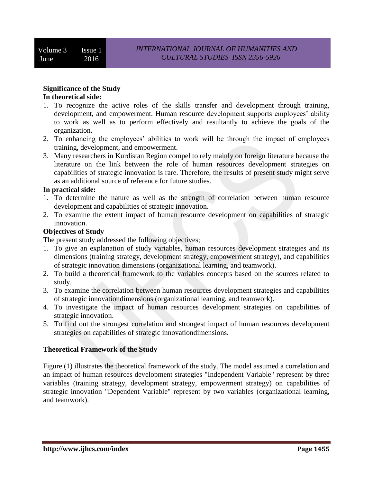#### **Significance of the Study In theoretical side:**

- 1. To recognize the active roles of the skills transfer and development through training, development, and empowerment. Human resource development supports employees' ability to work as well as to perform effectively and resultantly to achieve the goals of the organization.
- 2. To enhancing the employees' abilities to work will be through the impact of employees training, development, and empowerment.
- 3. Many researchers in Kurdistan Region compel to rely mainly on foreign literature because the literature on the link between the role of human resources development strategies on capabilities of strategic innovation is rare. Therefore, the results of present study might serve as an additional source of reference for future studies.

#### **In practical side:**

- 1. To determine the nature as well as the strength of correlation between human resource development and capabilities of strategic innovation.
- 2. To examine the extent impact of human resource development on capabilities of strategic innovation.

#### **Objectives of Study**

The present study addressed the following objectives;

- 1. To give an explanation of study variables, human resources development strategies and its dimensions (training strategy, development strategy, empowerment strategy), and capabilities of strategic innovation dimensions (organizational learning, and teamwork).
- 2. To build a theoretical framework to the variables concepts based on the sources related to study.
- 3. To examine the correlation between human resources development strategies and capabilities of strategic innovationdimensions (organizational learning, and teamwork).
- 4. To investigate the impact of human resources development strategies on capabilities of strategic innovation.
- 5. To find out the strongest correlation and strongest impact of human resources development strategies on capabilities of strategic innovationdimensions.

### **Theoretical Framework of the Study**

Figure (1) illustrates the theoretical framework of the study. The model assumed a correlation and an impact of human resources development strategies "Independent Variable" represent by three variables (training strategy, development strategy, empowerment strategy) on capabilities of strategic innovation "Dependent Variable" represent by two variables (organizational learning, and teamwork).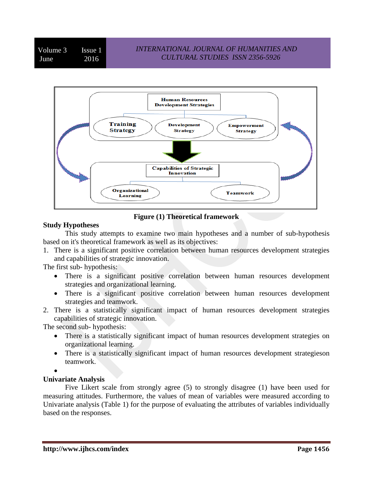Volume 3 Issue 1 June 2016



**Figure (1) Theoretical framework**

## **Study Hypotheses**

This study attempts to examine two main hypotheses and a number of sub-hypothesis based on it's theoretical framework as well as its objectives:

1. There is a significant positive correlation between human resources development strategies and capabilities of strategic innovation.

The first sub- hypothesis:

- There is a significant positive correlation between human resources development strategies and organizational learning.
- There is a significant positive correlation between human resources development strategies and teamwork.
- 2. There is a statistically significant impact of human resources development strategies capabilities of strategic innovation.

The second sub- hypothesis:

- There is a statistically significant impact of human resources development strategies on organizational learning.
- There is a statistically significant impact of human resources development strategieson teamwork.
- $\bullet$

## **Univariate Analysis**

Five Likert scale from strongly agree (5) to strongly disagree (1) have been used for measuring attitudes. Furthermore, the values of mean of variables were measured according to Univariate analysis (Table 1) for the purpose of evaluating the attributes of variables individually based on the responses.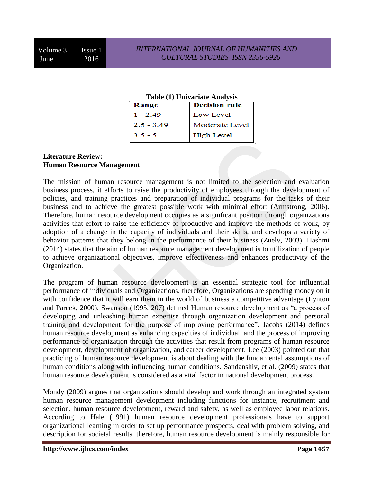#### **Table (1) Univariate Analysis**

| Range        | <b>Decision rule</b> |
|--------------|----------------------|
| $1 - 2.49$   | Low Level            |
| $2.5 - 3.49$ | Moderate Level       |
| $3.5 - 5$    | High Level           |

### **Literature Review: Human Resource Management**

The mission of human resource management is not limited to the selection and evaluation business process, it efforts to raise the productivity of employees through the development of policies, and training practices and preparation of individual programs for the tasks of their business and to achieve the greatest possible work with minimal effort (Armstrong, 2006). Therefore, human resource development occupies as a significant position through organizations activities that effort to raise the efficiency of productive and improve the methods of work, by adoption of a change in the capacity of individuals and their skills, and develops a variety of behavior patterns that they belong in the performance of their business (Zuelv, 2003). Hashmi (2014) states that the aim of human resource management development is to utilization of people to achieve organizational objectives, improve effectiveness and enhances productivity of the Organization.

The program of human resource development is an essential strategic tool for influential performance of individuals and Organizations, therefore, Organizations are spending money on it with confidence that it will earn them in the world of business a competitive advantage (Lynton and Pareek, 2000). Swanson (1995, 207) defined Human resource development as "a process of developing and unleashing human expertise through organization development and personal training and development for the purpose of improving performance". Jacobs (2014) defines human resource development as enhancing capacities of individual, and the process of improving performance of organization through the activities that result from programs of human resource development, development of organization, and career development. Lee (2003) pointed out that practicing of human resource development is about dealing with the fundamental assumptions of human conditions along with influencing human conditions. Sandanshiv, et al. (2009) states that human resource development is considered as a vital factor in national development process.

Mondy (2009) argues that organizations should develop and work through an integrated system human resource management development including functions for instance, recruitment and selection, human resource development, reward and safety, as well as employee labor relations. According to Hale (1991) human resource development professionals have to support organizational learning in order to set up performance prospects, deal with problem solving, and description for societal results. therefore, human resource development is mainly responsible for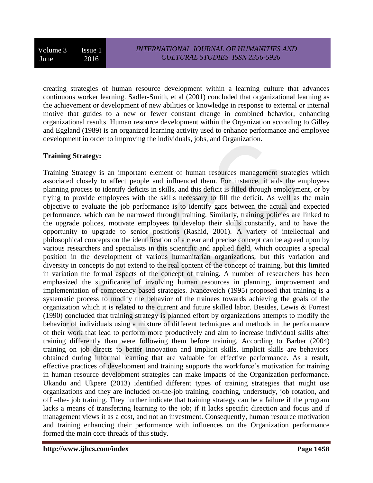creating strategies of human resource development within a learning culture that advances continuous worker learning. Sadler-Smith, et al (2001) concluded that organizational learning as the achievement or development of new abilities or knowledge in response to external or internal motive that guides to a new or fewer constant change in combined behavior, enhancing organizational results. Human resource development within the Organization according to Gilley and Eggland (1989) is an organized learning activity used to enhance performance and employee development in order to improving the individuals, jobs, and Organization.

### **Training Strategy:**

Training Strategy is an important element of human resources management strategies which associated closely to affect people and influenced them. For instance, it aids the employees planning process to identify deficits in skills, and this deficit is filled through employment, or by trying to provide employees with the skills necessary to fill the deficit. As well as the main objective to evaluate the job performance is to identify gaps between the actual and expected performance, which can be narrowed through training. Similarly, training policies are linked to the upgrade polices, motivate employees to develop their skills constantly, and to have the opportunity to upgrade to senior positions (Rashid, 2001). A variety of intellectual and philosophical concepts on the identification of a clear and precise concept can be agreed upon by various researchers and specialists in this scientific and applied field, which occupies a special position in the development of various humanitarian organizations, but this variation and diversity in concepts do not extend to the real content of the concept of training, but this limited in variation the formal aspects of the concept of training. A number of researchers has been emphasized the significance of involving human resources in planning, improvement and implementation of competency based strategies. Ivanceveich (1995) proposed that training is a systematic process to modify the behavior of the trainees towards achieving the goals of the organization which it is related to the current and future skilled labor. Besides, Lewis & Forrest (1990) concluded that training strategy is planned effort by organizations attempts to modify the behavior of individuals using a mixture of different techniques and methods in the performance of their work that lead to perform more productively and aim to increase individual skills after training differently than were following them before training. According to Barber (2004) training on job directs to better innovation and implicit skills. implicit skills are behaviors' obtained during informal learning that are valuable for effective performance. As a result, effective practices of development and training supports the workforce's motivation for training in human resource development strategies can make impacts of the Organization performance. Ukandu and Ukpere (2013) identified different types of training strategies that might use organizations and they are included on-the-job training, coaching, understudy, job rotation, and off –the- job training. They further indicate that training strategy can be a failure if the program lacks a means of transferring learning to the job; if it lacks specific direction and focus and if management views it as a cost, and not an investment. Consequently, human resource motivation and training enhancing their performance with influences on the Organization performance formed the main core threads of this study.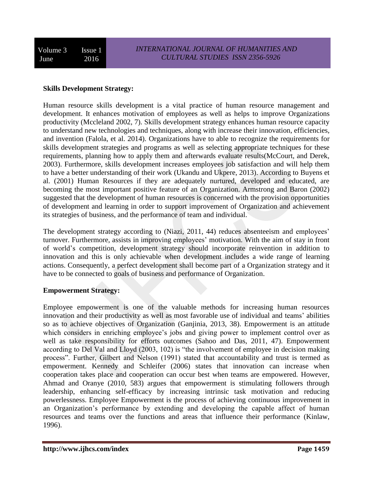#### **Skills Development Strategy:**

Human resource skills development is a vital practice of human resource management and development. It enhances motivation of employees as well as helps to improve Organizations productivity (Mccleland 2002, 7). Skills development strategy enhances human resource capacity to understand new technologies and techniques, along with increase their innovation, efficiencies, and invention (Falola, et al. 2014). Organizations have to able to recognize the requirements for skills development strategies and programs as well as selecting appropriate techniques for these requirements, planning how to apply them and afterwards evaluate results(McCourt, and Derek, 2003). Furthermore, skills development increases employees job satisfaction and will help them to have a better understanding of their work (Ukandu and Ukpere, 2013). According to Buyens et al. (2001) Human Resources if they are adequately nurtured, developed and educated, are becoming the most important positive feature of an Organization. Armstrong and Baron (2002) suggested that the development of human resources is concerned with the provision opportunities of development and learning in order to support improvement of Organization and achievement its strategies of business, and the performance of team and individual.

The development strategy according to (Niazi, 2011, 44) reduces absenteeism and employees' turnover. Furthermore, assists in improving employees' motivation. With the aim of stay in front of world's competition, development strategy should incorporate reinvention in addition to innovation and this is only achievable when development includes a wide range of learning actions. Consequently, a perfect development shall become part of a Organization strategy and it have to be connected to goals of business and performance of Organization.

### **Empowerment Strategy:**

Employee empowerment is one of the valuable methods for increasing human resources innovation and their productivity as well as most favorable use of individual and teams' abilities so as to achieve objectives of Organization (Ganjinia, 2013, 38). Empowerment is an attitude which considers in enriching employee's jobs and giving power to implement control over as well as take responsibility for efforts outcomes (Sahoo and Das, 2011, 47). Empowerment according to Del Val and Lloyd (2003, 102) is "the involvement of employee in decision making process". Further, Gilbert and Nelson (1991) stated that accountability and trust is termed as empowerment. Kennedy and Schleifer (2006) states that innovation can increase when cooperation takes place and cooperation can occur best when teams are empowered. However, Ahmad and Oranye (2010, 583) argues that empowerment is stimulating followers through leadership, enhancing self-efficacy by increasing intrinsic task motivation and reducing powerlessness. Employee Empowerment is the process of achieving continuous improvement in an Organization's performance by extending and developing the capable affect of human resources and teams over the functions and areas that influence their performance (Kinlaw, 1996).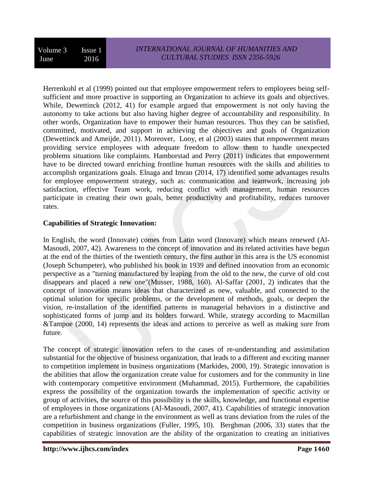Herrenkohl et al (1999) pointed out that employee empowerment refers to employees being selfsufficient and more proactive in supporting an Organization to achieve its goals and objectives. While, Dewettinck (2012, 41) for example argued that empowerment is not only having the autonomy to take actions but also having higher degree of accountability and responsibility. In other words, Organization have to empower their human resources. Thus they can be satisfied, committed, motivated, and support in achieving the objectives and goals of Organization (Dewettinck and Ameijde, 2011). Moreover, Looy, et al (2003) states that empowerment means providing service employees with adequate freedom to allow them to handle unexpected problems situations like complaints. Hamborstad and Perry (2011) indicates that empowerment have to be directed toward enriching frontline human resources with the skills and abilities to accomplish organizations goals. Elnaga and Imran (2014, 17) identified some advantages results for employee empowerment strategy, such as: communication and teamwork, increasing job satisfaction, effective Team work, reducing conflict with management, human resources participate in creating their own goals, better productivity and profitability, reduces turnover rates.

### **Capabilities of Strategic Innovation:**

In English, the word (Innovate) comes from Latin word (Innovare) which means renewed (Al-Masoudi, 2007, 42). Awareness to the concept of innovation and its related activities have begun at the end of the thirties of the twentieth century, the first author in this area is the US economist (Joseph Schumpeter), who published his book in 1939 and defined innovation from an economic perspective as a "turning manufactured by leaping from the old to the new, the curve of old cost disappears and placed a new one"(Musser, 1988, 160). Al-Saffar (2001, 2) indicates that the concept of innovation means ideas that characterized as new, valuable, and connected to the optimal solution for specific problems, or the development of methods, goals, or deepen the vision, re-installation of the identified patterns in managerial behaviors in a distinctive and sophisticated forms of jump and its holders forward. While, strategy according to Macmillan &Tampoe (2000, 14) represents the ideas and actions to perceive as well as making sure from future.

The concept of strategic innovation refers to the cases of re-understanding and assimilation substantial for the objective of business organization, that leads to a different and exciting manner to competition implement in business organizations (Markides, 2000, 19). Strategic innovation is the abilities that allow the organization create value for customers and for the community in line with contemporary competitive environment (Muhammad, 2015). Furthermore, the capabilities express the possibility of the organization towards the implementation of specific activity or group of activities, the source of this possibility is the skills, knowledge, and functional expertise of employees in those organizations (Al-Masoudi, 2007, 41). Capabilities of strategic innovation are a refurbishment and change in the environment as well as trans deviation from the rules of the competition in business organizations (Fuller, 1995, 10). Berghman (2006, 33) states that the capabilities of strategic innovation are the ability of the organization to creating an initiatives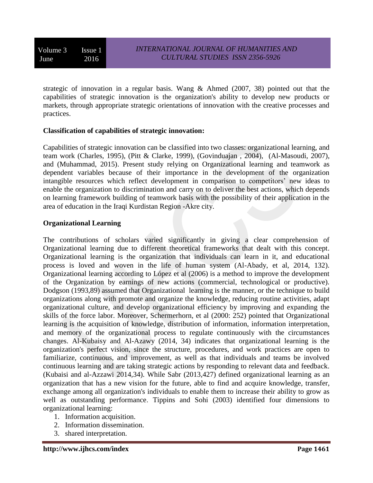strategic of innovation in a regular basis. Wang  $\&$  Ahmed (2007, 38) pointed out that the capabilities of strategic innovation is the organization's ability to develop new products or markets, through appropriate strategic orientations of innovation with the creative processes and practices.

### **Classification of capabilities of strategic innovation:**

Capabilities of strategic innovation can be classified into two classes: organizational learning, and team work (Charles, 1995), (Pitt & Clarke, 1999), (Govinduajan , 2004), (Al-Masoudi, 2007), and (Muhammad, 2015). Present study relying on Organizational learning and teamwork as dependent variables because of their importance in the development of the organization intangible resources which reflect development in comparison to competitors' new ideas to enable the organization to discrimination and carry on to deliver the best actions, which depends on learning framework building of teamwork basis with the possibility of their application in the area of education in the Iraqi Kurdistan Region -Akre city.

### **Organizational Learning**

The contributions of scholars varied significantly in giving a clear comprehension of Organizational learning due to different theoretical frameworks that dealt with this concept. Organizational learning is the organization that individuals can learn in it, and educational process is loved and woven in the life of human system (Al-Abady, et al, 2014, 132). Organizational learning according to López et al (2006) is a method to improve the development of the Organization by earnings of new actions (commercial, technological or productive). Dodgson (1993,89) assumed that Organizational learning is the manner, or the technique to build organizations along with promote and organize the knowledge, reducing routine activities, adapt organizational culture, and develop organizational efficiency by improving and expanding the skills of the force labor. Moreover, Schermerhorn, et al (2000: 252) pointed that Organizational learning is the acquisition of knowledge, distribution of information, information interpretation, and memory of the organizational process to regulate continuously with the circumstances changes. Al-Kubaisy and Al-Azawy (2014, 34) indicates that organizational learning is the organization's perfect vision, since the structure, procedures, and work practices are open to familiarize, continuous, and improvement, as well as that individuals and teams be involved continuous learning and are taking strategic actions by responding to relevant data and feedback. (Kubaisi and al-Azzawi 2014,34). While Sabr (2013,427) defined organizational learning as an organization that has a new vision for the future, able to find and acquire knowledge, transfer, exchange among all organization's individuals to enable them to increase their ability to grow as well as outstanding performance. Tippins and Sohi (2003) identified four dimensions to organizational learning:

- 1. Information acquisition.
- 2. Information dissemination.
- 3. shared interpretation.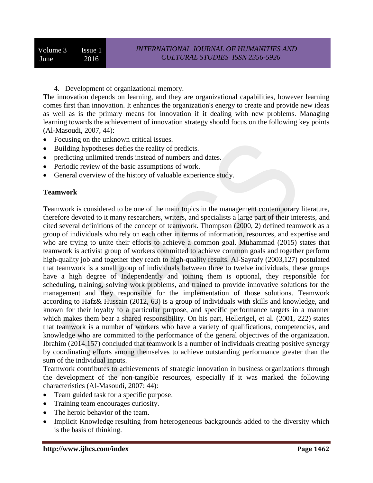4. Development of organizational memory.

The innovation depends on learning, and they are organizational capabilities, however learning comes first than innovation. It enhances the organization's energy to create and provide new ideas as well as is the primary means for innovation if it dealing with new problems. Managing learning towards the achievement of innovation strategy should focus on the following key points (Al-Masoudi, 2007, 44):

- Focusing on the unknown critical issues.
- Building hypotheses defies the reality of predicts.
- predicting unlimited trends instead of numbers and dates.
- Periodic review of the basic assumptions of work.
- General overview of the history of valuable experience study.

#### **Teamwork**

Teamwork is considered to be one of the main topics in the management contemporary literature, therefore devoted to it many researchers, writers, and specialists a large part of their interests, and cited several definitions of the concept of teamwork. Thompson (2000, 2) defined teamwork as a group of individuals who rely on each other in terms of information, resources, and expertise and who are trying to unite their efforts to achieve a common goal. Muhammad (2015) states that teamwork is activist group of workers committed to achieve common goals and together perform high-quality job and together they reach to high-quality results. Al-Sayrafy (2003,127) postulated that teamwork is a small group of individuals between three to twelve individuals, these groups have a high degree of Independently and joining them is optional, they responsible for scheduling, training, solving work problems, and trained to provide innovative solutions for the management and they responsible for the implementation of those solutions. Teamwork according to Hafz& Hussain (2012, 63) is a group of individuals with skills and knowledge, and known for their loyalty to a particular purpose, and specific performance targets in a manner which makes them bear a shared responsibility. On his part, Hellerigel, et al. (2001, 222) states that teamwork is a number of workers who have a variety of qualifications, competencies, and knowledge who are committed to the performance of the general objectives of the organization. Ibrahim (2014.157) concluded that teamwork is a number of individuals creating positive synergy by coordinating efforts among themselves to achieve outstanding performance greater than the sum of the individual inputs.

Teamwork contributes to achievements of strategic innovation in business organizations through the development of the non-tangible resources, especially if it was marked the following characteristics (Al-Masoudi, 2007: 44):

- Team guided task for a specific purpose.
- Training team encourages curiosity.
- The heroic behavior of the team.
- Implicit Knowledge resulting from heterogeneous backgrounds added to the diversity which is the basis of thinking.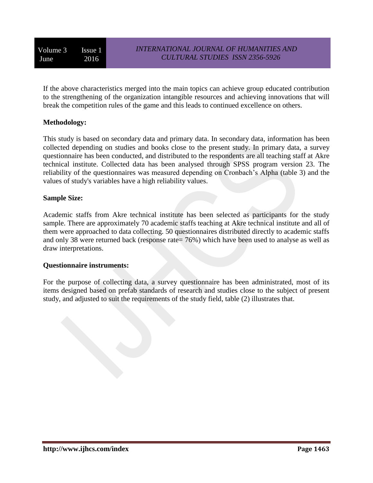If the above characteristics merged into the main topics can achieve group educated contribution to the strengthening of the organization intangible resources and achieving innovations that will break the competition rules of the game and this leads to continued excellence on others.

### **Methodology:**

This study is based on secondary data and primary data. In secondary data, information has been collected depending on studies and books close to the present study. In primary data, a survey questionnaire has been conducted, and distributed to the respondents are all teaching staff at Akre technical institute. Collected data has been analysed through SPSS program version 23. The reliability of the questionnaires was measured depending on Cronbach's Alpha (table 3) and the values of study's variables have a high reliability values.

### **Sample Size:**

Academic staffs from Akre technical institute has been selected as participants for the study sample. There are approximately 70 academic staffs teaching at Akre technical institute and all of them were approached to data collecting. 50 questionnaires distributed directly to academic staffs and only 38 were returned back (response rate= 76%) which have been used to analyse as well as draw interpretations.

### **Questionnaire instruments:**

For the purpose of collecting data, a survey questionnaire has been administrated, most of its items designed based on prefab standards of research and studies close to the subject of present study, and adjusted to suit the requirements of the study field, table (2) illustrates that.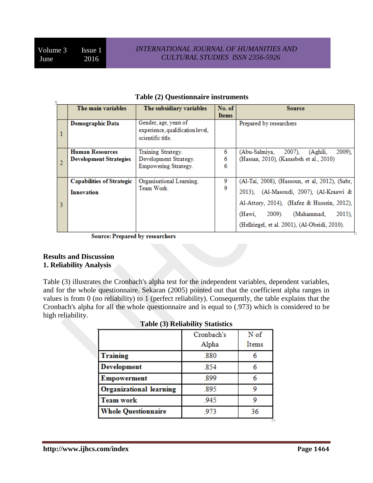|   | The main variables                                      | The subsidiary variables                                                       | No. of<br><b>Items</b> | Source                                                                                                                                                                                 |  |  |  |
|---|---------------------------------------------------------|--------------------------------------------------------------------------------|------------------------|----------------------------------------------------------------------------------------------------------------------------------------------------------------------------------------|--|--|--|
|   | <b>Demographic Data</b>                                 | Gender, age, years of<br>experience, qualification level,<br>scientific title. |                        | Prepared by researchers                                                                                                                                                                |  |  |  |
|   | <b>Human Resources</b><br><b>Development Strategies</b> | Training Strategy.<br>Development Strategy.<br>Empowering Strategy.            | 6<br>6<br>6            | 2009).<br>(Abu-Salmiya,<br>$2007$ ).<br>(Aghili,<br>(Hassan, 2010), (Kasasbeh et al., 2010)                                                                                            |  |  |  |
| 3 | <b>Capabilities of Strategic</b><br><b>Innovation</b>   | Organisational Learning.<br>Team Work.                                         | 9<br>9                 | (Al-Tai, 2008), (Hassoun, et al, 2012), (Sabr,<br>2013), (Al-Masoudi, 2007), (Al-Kraawi &<br>Al-Attory, 2014), (Hafez & Hussein, 2012),<br>(Muhammad,<br>$2015$ ).<br>2009).<br>(Hawi. |  |  |  |
|   |                                                         |                                                                                |                        | (Hellriegel, et al. 2001), (Al-Obeidi, 2010).                                                                                                                                          |  |  |  |

#### **Table (2) Questionnaire instruments**

**Source: Prepared by researchers** 

#### **Results and Discussion 1. Reliability Analysis**

Table (3) illustrates the Cronbach's alpha test for the independent variables, dependent variables, and for the whole questionnaire. Sekaran (2005) pointed out that the coefficient alpha ranges in values is from 0 (no reliability) to 1 (perfect reliability). Consequently, the table explains that the Cronbach's alpha for all the whole questionnaire and is equal to (.973) which is considered to be high reliability.

|                                | Cronbach's | N of  |
|--------------------------------|------------|-------|
|                                | Alpha      | Items |
| <b>Training</b>                | .880       |       |
| <b>Development</b>             | .854       |       |
| <b>Empowerment</b>             | .899       |       |
| <b>Organizational learning</b> | .895       | 9     |
| <b>Team work</b>               | .945       | q     |
| <b>Whole Questionnaire</b>     | .973       | 36    |

|  |  |  | Table (3) Reliability Statistics |
|--|--|--|----------------------------------|
|--|--|--|----------------------------------|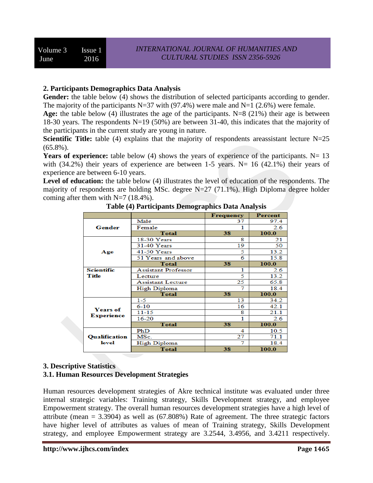### **2. Participants Demographics Data Analysis**

Gender: the table below (4) shows the distribution of selected participants according to gender. The majority of the participants N=37 with (97.4%) were male and N=1 (2.6%) were female.

**Age:** the table below (4) illustrates the age of the participants. N=8 (21%) their age is between 18-30 years. The respondents N=19 (50%) are between 31-40, this indicates that the majority of the participants in the current study are young in nature.

**Scientific Title:** table (4) explains that the majority of respondents areassistant lecture N=25  $(65.8\%)$ .

**Years of experience:** table below (4) shows the years of experience of the participants.  $N=13$ with  $(34.2%)$  their years of experience are between 1-5 years. N= 16  $(42.1%)$  their years of experience are between 6-10 years.

**Level of education:** the table below (4) illustrates the level of education of the respondents. The majority of respondents are holding MSc. degree N=27 (71.1%). High Diploma degree holder coming after them with  $N=7$  (18.4%).

|                      |                            | Frequency | <b>Percent</b> |
|----------------------|----------------------------|-----------|----------------|
|                      | Male                       | 37        | 97.4           |
| Gender               | Female                     |           | 2.6            |
|                      | <b>Total</b>               | 38        | 100.0          |
|                      | 18-30 Years                | 8         | 21             |
|                      | 31-40 Years                | 19        | 50             |
| Age                  | 41-50 Years                | 5         | 13.2           |
|                      | 51 Years and above         | 6         | 15.8           |
|                      | Total                      | 38        | 100.0          |
| Scientific           | <b>Assistant Professor</b> | 1         | 2.6            |
| Title                | Lecture                    | 5         | 13.2           |
|                      | <b>Assistant Lecture</b>   | 25        | 65.8           |
|                      | High Diploma               | 7         | 18.4           |
|                      | <b>Total</b>               | 38        | 100.0          |
|                      | $1 - 5$                    | 13        | 34.2           |
| <b>Years of</b>      | $6 - 10$                   | 16        | 42.1           |
|                      | 11-15                      | 8         | 21.1           |
| <b>Experience</b>    | 16-20                      | 1         | 2.6            |
|                      | Total                      | 38        | 100.0          |
|                      | PhD                        | 4         | 10.5           |
| <b>Oualification</b> | MSc.                       | 27        | 71.1           |
| level                | <b>High Diploma</b>        | 7         | 18.4           |
|                      | <b>Total</b>               | 38        | 100.0          |

**Table (4) Participants Demographics Data Analysis**

#### **3. Descriptive Statistics 3.1. Human Resources Development Strategies**

Human resources development strategies of Akre technical institute was evaluated under three internal strategic variables: Training strategy, Skills Development strategy, and employee Empowerment strategy. The overall human resources development strategies have a high level of attribute (mean  $= 3.3904$ ) as well as (67.808%) Rate of agreement. The three strategic factors have higher level of attributes as values of mean of Training strategy, Skills Development strategy, and employee Empowerment strategy are 3.2544, 3.4956, and 3.4211 respectively.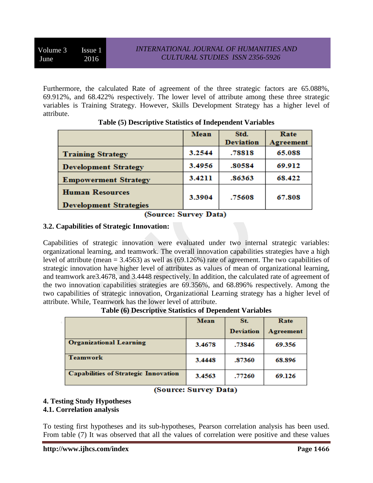Furthermore, the calculated Rate of agreement of the three strategic factors are 65.088%, 69.912%, and 68.422% respectively. The lower level of attribute among these three strategic variables is Training Strategy. However, Skills Development Strategy has a higher level of attribute.

|                               | Mean   | Std.<br><b>Deviation</b> | Rate<br>Agreement |
|-------------------------------|--------|--------------------------|-------------------|
| <b>Training Strategy</b>      | 3.2544 | .78818                   | 65.088            |
| <b>Development Strategy</b>   | 3.4956 | .80584                   | 69.912            |
| <b>Empowerment Strategy</b>   | 3.4211 | .86363                   | 68.422            |
| <b>Human Resources</b>        | 3.3904 | .75608                   | 67.808            |
| <b>Development Strategies</b> |        |                          |                   |

## **Table (5) Descriptive Statistics of Independent Variables**

## (Source: Survey Data)

### **3.2. Capabilities of Strategic Innovation:**

Capabilities of strategic innovation were evaluated under two internal strategic variables: organizational learning, and teamwork. The overall innovation capabilities strategies have a high level of attribute (mean = 3.4563) as well as (69.126%) rate of agreement. The two capabilities of strategic innovation have higher level of attributes as values of mean of organizational learning, and teamwork are3.4678, and 3.4448 respectively. In addition, the calculated rate of agreement of the two innovation capabilities strategies are 69.356%, and 68.896% respectively. Among the two capabilities of strategic innovation, Organizational Learning strategy has a higher level of attribute. While, Teamwork has the lower level of attribute.

|                                             | Mean   | St.              | Rate      |  |
|---------------------------------------------|--------|------------------|-----------|--|
|                                             |        | <b>Deviation</b> | Agreement |  |
| <b>Organizational Learning</b>              | 3.4678 | .73846           | 69.356    |  |
| <b>Teamwork</b>                             | 3.4448 | .87360           | 68.896    |  |
| <b>Capabilities of Strategic Innovation</b> | 3.4563 | .77260           | 69.126    |  |

# (Source: Survey Data)

### **4. Testing Study Hypotheses**

### **4.1. Correlation analysis**

To testing first hypotheses and its sub-hypotheses, Pearson correlation analysis has been used. From table (7) It was observed that all the values of correlation were positive and these values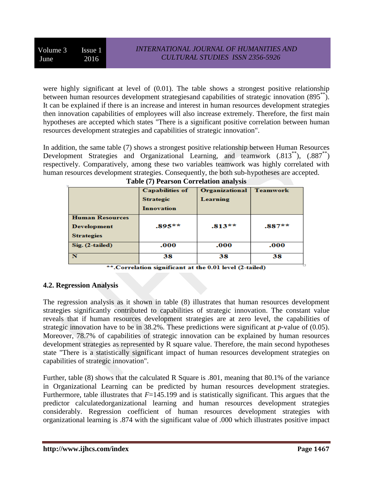were highly significant at level of (0.01). The table shows a strongest positive relationship between human resources development strategiesand capabilities of strategic innovation (895<sup>\*\*</sup>). It can be explained if there is an increase and interest in human resources development strategies then innovation capabilities of employees will also increase extremely. Therefore, the first main hypotheses are accepted which states "There is a significant positive correlation between human resources development strategies and capabilities of strategic innovation".

In addition, the same table (7) shows a strongest positive relationship between Human Resources Development Strategies and Organizational Learning, and teamwork  $(.813^{**})$ ,  $(.887^{**})$ respectively. Comparatively, among these two variables teamwork was highly correlated with human resources development strategies. Consequently, the both sub-hypotheses are accepted.

|                                                                   | <b>Capabilities of</b><br><b>Strategic</b><br><b>Innovation</b> | Organizational<br>Learning | <b>Teamwork</b> |
|-------------------------------------------------------------------|-----------------------------------------------------------------|----------------------------|-----------------|
| <b>Human Resources</b><br><b>Development</b><br><b>Strategies</b> | $.895**$                                                        | $.813**$                   | $.887**$        |
| $Sig. (2-tailed)$                                                 | .000                                                            | .000                       | .000            |
|                                                                   | 38                                                              | 38                         | 38              |

|  | <b>Table (7) Pearson Correlation analysis</b> |  |  |
|--|-----------------------------------------------|--|--|
|  |                                               |  |  |

\*\*.Correlation significant at the 0.01 level (2-tailed)

### **4.2. Regression Analysis**

The regression analysis as it shown in table (8) illustrates that human resources development strategies significantly contributed to capabilities of strategic innovation. The constant value reveals that if human resources development strategies are at zero level, the capabilities of strategic innovation have to be in 38.2%. These predictions were significant at *p-*value of (0.05). Moreover, 78.7% of capabilities of strategic innovation can be explained by human resources development strategies as represented by R square value. Therefore, the main second hypotheses state "There is a statistically significant impact of human resources development strategies on capabilities of strategic innovation".

Further, table (8) shows that the calculated R Square is .801, meaning that 80.1% of the variance in Organizational Learning can be predicted by human resources development strategies. Furthermore, table illustrates that  $F=145.199$  and is statistically significant. This argues that the predictor calculatedorganizational learning and human resources development strategies considerably. Regression coefficient of human resources development strategies with organizational learning is .874 with the significant value of .000 which illustrates positive impact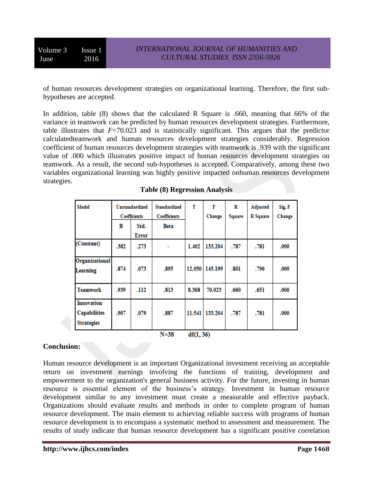Volume 3 Issue 1 June 2016

of human resources development strategies on organizational learning. Therefore, the first subhypotheses are accepted.

In addition, table (8) shows that the calculated R Square is .660, meaning that 66% of the variance in teamwork can be predicted by human resources development strategies. Furthermore, table illustrates that  $F=70.023$  and is statistically significant. This argues that the predictor calculatedteamwork and human resources development strategies considerably. Regression coefficient of human resources development strategies with teamwork is .939 with the significant value of .000 which illustrates positive impact of human resources development strategies on teamwork. As a result, the second sub-hypotheses is accepted. Comparatively, among these two variables organizational learning was highly positive impacted onhuman resources development strategies.

| Model                                                         |      | <b>Unstandardized</b><br><b>Coefficients</b> | <b>Standardized</b><br><b>Coefficients</b> | т      | F<br>Change    | R<br>Square | Adjusted<br>R Square | Sig. F<br>Change |
|---------------------------------------------------------------|------|----------------------------------------------|--------------------------------------------|--------|----------------|-------------|----------------------|------------------|
|                                                               | в    | Std.<br>Error                                | Beta                                       |        |                |             |                      |                  |
| (Constant)                                                    | .382 | .273                                         | ۰                                          | 1.402  | 133.204        | .787        | .781                 | .000             |
| Organizational<br><b>Learning</b>                             | .874 | .073                                         | .895                                       |        | 12.050 145.199 | .801        | .796                 | .000             |
| <b>Teamwork</b>                                               | .939 | .112                                         | .813                                       | 8.368  | 70.023         | .660        | .651                 | .000             |
| <b>Innovation</b><br><b>Capabilities</b><br><b>Strategies</b> | .907 | .079                                         | .887                                       | 11.541 | 133.204        | .787        | .781                 | .000             |

**Table (8) Regression Analysis**

 $N = 38$  $df(1, 36)$ 

#### **Conclusion:**

Human resource development is an important Organizational investment receiving an acceptable return on investment earnings involving the functions of training, development and empowerment to the organization's general business activity. For the future, investing in human resource is essential element of the business's strategy. Investment in human resource development similar to any investment must create a measurable and effective payback. Organizations should evaluate results and methods in order to complete program of human resource development. The main element to achieving reliable success with programs of human resource development is to encompass a systematic method to assessment and measurement. The results of study indicate that human resource development has a significant positive correlation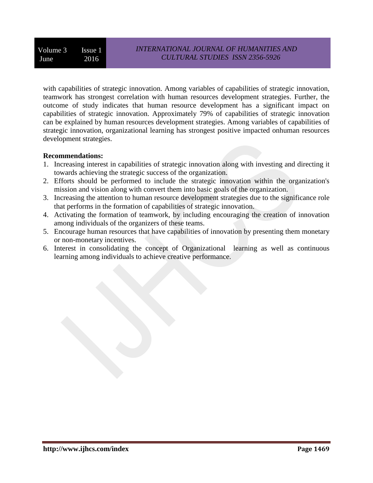with capabilities of strategic innovation. Among variables of capabilities of strategic innovation, teamwork has strongest correlation with human resources development strategies. Further, the outcome of study indicates that human resource development has a significant impact on capabilities of strategic innovation. Approximately 79% of capabilities of strategic innovation can be explained by human resources development strategies. Among variables of capabilities of strategic innovation, organizational learning has strongest positive impacted onhuman resources development strategies.

#### **Recommendations:**

- 1. Increasing interest in capabilities of strategic innovation along with investing and directing it towards achieving the strategic success of the organization.
- 2. Efforts should be performed to include the strategic innovation within the organization's mission and vision along with convert them into basic goals of the organization.
- 3. Increasing the attention to human resource development strategies due to the significance role that performs in the formation of capabilities of strategic innovation.
- 4. Activating the formation of teamwork, by including encouraging the creation of innovation among individuals of the organizers of these teams.
- 5. Encourage human resources that have capabilities of innovation by presenting them monetary or non-monetary incentives.
- 6. Interest in consolidating the concept of Organizational learning as well as continuous learning among individuals to achieve creative performance.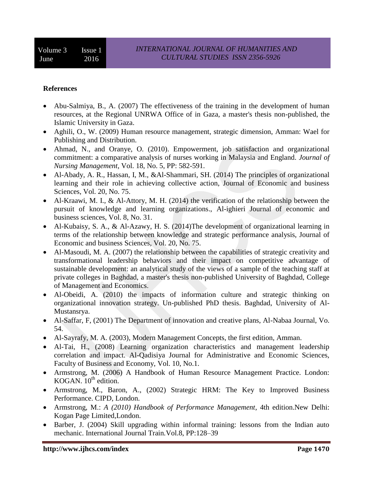#### **References**

- Abu-Salmiya, B., A. (2007) The effectiveness of the training in the development of human resources, at the Regional UNRWA Office of in Gaza, a master's thesis non-published, the Islamic University in Gaza.
- Aghili, O., W. (2009) Human resource management, strategic dimension, Amman: Wael for Publishing and Distribution.
- Ahmad, N., and Oranye, O. (2010). Empowerment, job satisfaction and organizational commitment: a comparative analysis of nurses working in Malaysia and England. *Journal of Nursing Management*, Vol. 18, No. 5, PP: 582-591.
- Al-Abady, A. R., Hassan, I, M., &Al-Shammari, SH. (2014) The principles of organizational learning and their role in achieving collective action, Journal of Economic and business Sciences, Vol. 20, No. 75.
- Al-Kraawi, M. I., & Al-Attory, M. H. (2014) the verification of the relationship between the pursuit of knowledge and learning organizations., Al-ighieri Journal of economic and business sciences, Vol. 8, No. 31.
- Al-Kubaisy, S. A., & Al-Azawy, H. S. (2014)The development of organizational learning in terms of the relationship between knowledge and strategic performance analysis, Journal of Economic and business Sciences, Vol. 20, No. 75.
- Al-Masoudi, M. A. (2007) the relationship between the capabilities of strategic creativity and transformational leadership behaviors and their impact on competitive advantage of sustainable development: an analytical study of the views of a sample of the teaching staff at private colleges in Baghdad, a master's thesis non-published University of Baghdad, College of Management and Economics.
- Al-Obeidi, A. (2010) the impacts of information culture and strategic thinking on organizational innovation strategy. Un-published PhD thesis. Baghdad, University of Al-Mustansrya.
- Al-Saffar, F, (2001) The Department of innovation and creative plans, Al-Nabaa Journal, Vo. 54.
- Al-Sayrafy, M. A. (2003), Modern Management Concepts, the first edition, Amman.
- Al-Tai, H., (2008) Learning organization characteristics and management leadership correlation and impact. Al-Qadisiya Journal for Administrative and Economic Sciences, Faculty of Business and Economy, Vol. 10, No.1.
- Armstrong, M. (2006) A Handbook of Human Resource Management Practice. London: KOGAN.  $10^{th}$  edition.
- Armstrong, M., Baron, A., (2002) Strategic HRM: The Key to Improved Business Performance. CIPD, London.
- Armstrong, M.: *A (2010) Handbook of Performance Management*, 4th edition.New Delhi: Kogan Page Limited,London.
- Barber, J. (2004) Skill upgrading within informal training: lessons from the Indian auto mechanic. International Journal Train*.*Vol.8, PP:128–39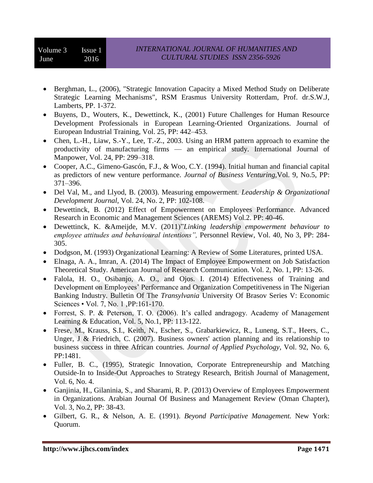- Berghman, L., (2006), "Strategic Innovation Capacity a Mixed Method Study on Deliberate Strategic Learning Mechanisms", RSM Erasmus University Rotterdam, Prof. dr.S.W.J, Lamberts, PP. 1-372.
- Buyens, D., Wouters, K., Dewettinck, K., (2001) Future Challenges for Human Resource Development Professionals in European Learning-Oriented Organizations. Journal of European Industrial Training, Vol. 25, PP: 442–453.
- Chen, L.-H., Liaw, S.-Y., Lee, T.-Z., 2003. Using an HRM pattern approach to examine the productivity of manufacturing firms — an empirical study. International Journal of Manpower, Vol. 24, PP: 299–318.
- Cooper, A.C., Gimeno-Gascón, F.J., & Woo, C.Y. (1994). Initial human and financial capital as predictors of new venture performance. *Journal of Business Venturing,*Vol. 9, No.5, PP: 371–396.
- Del Val, M., and Llyod, B. (2003). Measuring empowerment. *Leadership & Organizational Development Journal*, Vol. 24, No. 2, PP: 102-108.
- Dewettinck, B. (2012) Effect of Empowerment on Employees Performance. Advanced Research in Economic and Management Sciences (AREMS) Vol.2. PP: 40-46.
- Dewettinck, K. &Ameijde, M.V. (2011)"*Linking leadership empowerment behaviour to employee attitudes and behavioural intentions",* Personnel Review, Vol. 40, No 3, PP: 284- 305.
- Dodgson, M. (1993) Organizational Learning: A Review of Some Literatures, printed USA.
- Elnaga, A. A., Imran, A. (2014) The Impact of Employee Empowerment on Job Satisfaction Theoretical Study. American Journal of Research Communication. Vol. 2, No. 1, PP: 13-26.
- Falola, H. O., Osibanjo, A. O., and Ojos. I. (2014) Effectiveness of Training and Development on Employees' Performance and Organization Competitiveness in The Nigerian Banking Industry. Bulletin Of The *Transylvania* University Of Brasov Series V: Economic Sciences • Vol. 7, No. 1 ,PP:161-170.
- Forrest, S. P. & Peterson, T. O. (2006). It's called andragogy. Academy of Management Learning & Education, Vol. 5, No.1, PP: 113-122.
- Frese, M., Krauss, S.I., Keith, N., Escher, S., Grabarkiewicz, R., Luneng, S.T., Heers, C., Unger, J & Friedrich, C. (2007). Business owners' action planning and its relationship to business success in three African countries. *Journal of Applied Psychology*, Vol. 92, No. 6, PP:1481.
- Fuller, B. C., (1995), Strategic Innovation, Corporate Entrepreneurship and Matching Outside-In to Inside-Out Approaches to Strategy Research, British Journal of Management, Vol. 6, No. 4.
- Ganjinia, H., Gilaninia, S., and Sharami, R. P. (2013) Overview of Employees Empowerment in Organizations. Arabian Journal Of Business and Management Review (Oman Chapter), Vol. 3, No.2, PP: 38-43.
- Gilbert, G. R., & Nelson, A. E. (1991). *Beyond Participative Management.* New York: Quorum.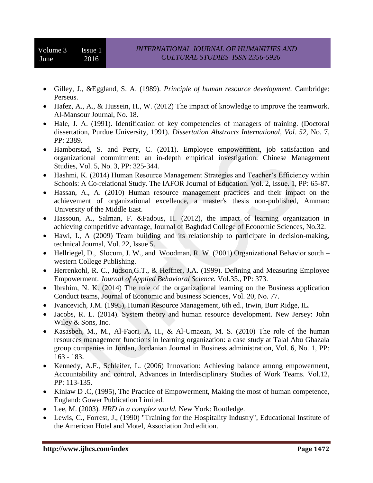- Gilley, J., &Eggland, S. A. (1989). *Principle of human resource development.* Cambridge: Perseus.
- Hafez, A., A., & Hussein, H., W. (2012) The impact of knowledge to improve the teamwork. Al-Mansour Journal, No. 18.
- Hale, J. A. (1991). Identification of key competencies of managers of training. (Doctoral dissertation, Purdue University, 1991). *Dissertation Abstracts International, Vol. 52*, No. 7, PP: 2389.
- Hamborstad, S. and Perry, C. (2011). Employee empowerment, job satisfaction and organizational commitment: an in-depth empirical investigation. Chinese Management Studies, Vol. 5, No. 3, PP: 325-344.
- Hashmi, K. (2014) Human Resource Management Strategies and Teacher's Efficiency within Schools: A Co-relational Study. The IAFOR Journal of Education. Vol. 2, Issue. 1, PP: 65-87.
- Hassan, A., A. (2010) Human resource management practices and their impact on the achievement of organizational excellence, a master's thesis non-published, Amman: University of the Middle East.
- Hassoun, A., Salman, F. &Fadous, H. (2012), the impact of learning organization in achieving competitive advantage, Journal of Baghdad College of Economic Sciences, No.32.
- Hawi, I., A (2009) Team building and its relationship to participate in decision-making, technical Journal, Vol. 22, Issue 5.
- [Hellriegel,](https://www.google.iq/search?tbo=p&tbm=bks&q=inauthor:%22Don+Hellriegel%22) D., [Slocum,](https://www.google.iq/search?tbo=p&tbm=bks&q=inauthor:%22John+W.+Slocum%22) J. W., and [Woodman,](https://www.google.iq/search?tbo=p&tbm=bks&q=inauthor:%22Richard+W.+Woodman%22) R. W. (2001) Organizational Behavior south western College Publishing.
- Herrenkohl, R. C., Judson,G.T., & Heffner, J.A. (1999). Defining and Measuring Employee Empowerment. *Journal of Applied Behavioral Science.* Vol.35., PP: 373.
- Ibrahim, N. K. (2014) The role of the organizational learning on the Business application Conduct teams, Journal of Economic and business Sciences, Vol. 20, No. 77.
- Ivancevich, J.M. (1995), Human Resource Management, 6th ed., Irwin, Burr Ridge, IL.
- Jacobs, R. L. (2014). System theory and human resource development. New Jersey: John Wiley & Sons, Inc.
- Kasasbeh, M., M., Al-Faori, A. H., & Al-Umaean, M. S. (2010) The role of the human resources management functions in learning organization: a case study at Talal Abu Ghazala group companies in Jordan, Jordanian Journal in Business administration, Vol. 6, No. 1, PP: 163 - 183.
- Kennedy, A.F., Schleifer, L. (2006) Innovation: Achieving balance among empowerment, Accountability and control, Advances in Interdisciplinary Studies of Work Teams. Vol.12, PP: 113-135.
- Kinlaw D .C, (1995), The Practice of Empowerment, Making the most of human competence, England: Gower Publication Limited.
- Lee, M. (2003). *HRD in a complex world.* New York: Routledge.
- Lewis, C., Forrest, J., (1990) "Training for the Hospitality Industry", Educational Institute of the American Hotel and Motel, Association 2nd edition.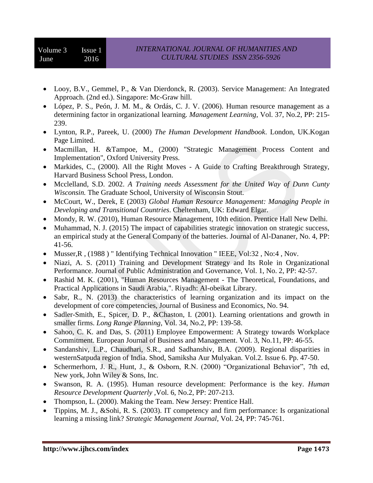- Looy, B.V., Gemmel, P., & Van Dierdonck, R. (2003). Service Management: An Integrated Approach. (2nd ed.). Singapore: Mc-Graw hill.
- López, P. S., Peón, J. M. M., & Ordás, C. J. V. (2006). Human resource management as a determining factor in organizational learning. *Management Learning,* Vol. 37, No.2, PP: 215- 239.
- Lynton, R.P., Pareek, U. (2000) *The Human Development Handbook*. London, UK.Kogan Page Limited.
- Macmillan, H. &Tampoe, M., (2000) "Strategic Management Process Content and Implementation", Oxford University Press.
- Markides, C., (2000). All the Right Moves A Guide to Crafting Breakthrough Strategy, Harvard Business School Press, London.
- Mcclelland, S.D. 2002. A Training needs Assessment for the United Way of Dunn Cunty *Wisconsin.* The Graduate School, University of Wisconsin Stout.
- McCourt, W., Derek, E (2003) *Global Human Resource Management: Managing People in Developing and Transitional Countries*. Cheltenham, UK: Edward Elgar.
- Mondy, R. W. (2010), Human Resource Management, 10th edition. Prentice Hall New Delhi.
- Muhammad, N. J. (2015) The impact of capabilities strategic innovation on strategic success, an empirical study at the General Company of the batteries. Journal of Al-Dananer, No. 4, PP: 41-56.
- Musser, R, (1988) "Identifying Technical Innovation "IEEE, Vol:32, No:4, Nov.
- Niazi, A. S. (2011) Training and Development Strategy and Its Role in Organizational Performance. Journal of Public Administration and Governance, Vol. 1, No. 2, PP: 42-57.
- Rashid M. K. (2001), "Human Resources Management The Theoretical, Foundations, and Practical Applications in Saudi Arabia,". Riyadh: Al-obeikat Library.
- Sabr, R., N. (2013) the characteristics of learning organization and its impact on the development of core competencies, Journal of Business and Economics, No. 94.
- Sadler-Smith, E., Spicer, D. P., &Chaston, I. (2001). Learning orientations and growth in smaller firms. *Long Range Planning,* Vol. 34, No.2, PP: 139-58.
- Sahoo, C. K. and Das, S. (2011) Employee Empowerment: A Strategy towards Workplace Commitment. European Journal of Business and Management. Vol. 3, No.11, PP: 46-55.
- Sandanshiv, L.P., Chaudhari, S.R., and Sadhanshiv, B.A. (2009). Regional disparities in westernSatpuda region of India. Shod, Samiksha Aur Mulyakan. Vol.2. Issue 6. Pp. 47-50.
- Schermerhorn, J. R., Hunt, J., & Osborn, R.N. (2000) "Organizational Behavior", 7th ed, New york, John Wiley & Sons, Inc.
- Swanson, R. A. (1995). Human resource development: Performance is the key. *Human Resource Development Quarterly ,*Vol. 6, No.2, PP: 207-213.
- Thompson, L. (2000). Making the Team. New Jersey: Prentice Hall.
- Tippins, M. J., &Sohi, R. S. (2003). IT competency and firm performance: Is organizational learning a missing link? *Strategic Management Journal,* Vol. 24, PP: 745-761.